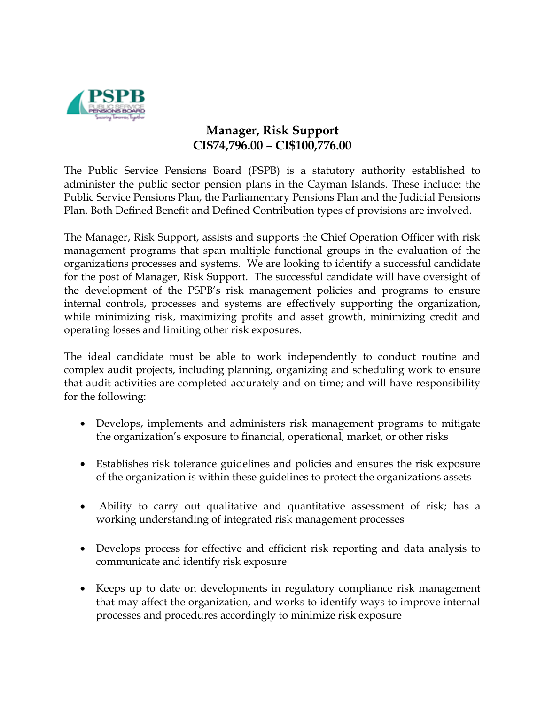

## **Manager, Risk Support CI\$74,796.00 – CI\$100,776.00**

The Public Service Pensions Board (PSPB) is a statutory authority established to administer the public sector pension plans in the Cayman Islands. These include: the Public Service Pensions Plan, the Parliamentary Pensions Plan and the Judicial Pensions Plan. Both Defined Benefit and Defined Contribution types of provisions are involved.

The Manager, Risk Support, assists and supports the Chief Operation Officer with risk management programs that span multiple functional groups in the evaluation of the organizations processes and systems. We are looking to identify a successful candidate for the post of Manager, Risk Support. The successful candidate will have oversight of the development of the PSPB's risk management policies and programs to ensure internal controls, processes and systems are effectively supporting the organization, while minimizing risk, maximizing profits and asset growth, minimizing credit and operating losses and limiting other risk exposures.

The ideal candidate must be able to work independently to conduct routine and complex audit projects, including planning, organizing and scheduling work to ensure that audit activities are completed accurately and on time; and will have responsibility for the following:

- Develops, implements and administers risk management programs to mitigate the organization's exposure to financial, operational, market, or other risks
- Establishes risk tolerance guidelines and policies and ensures the risk exposure of the organization is within these guidelines to protect the organizations assets
- Ability to carry out qualitative and quantitative assessment of risk; has a working understanding of integrated risk management processes
- Develops process for effective and efficient risk reporting and data analysis to communicate and identify risk exposure
- Keeps up to date on developments in regulatory compliance risk management that may affect the organization, and works to identify ways to improve internal processes and procedures accordingly to minimize risk exposure